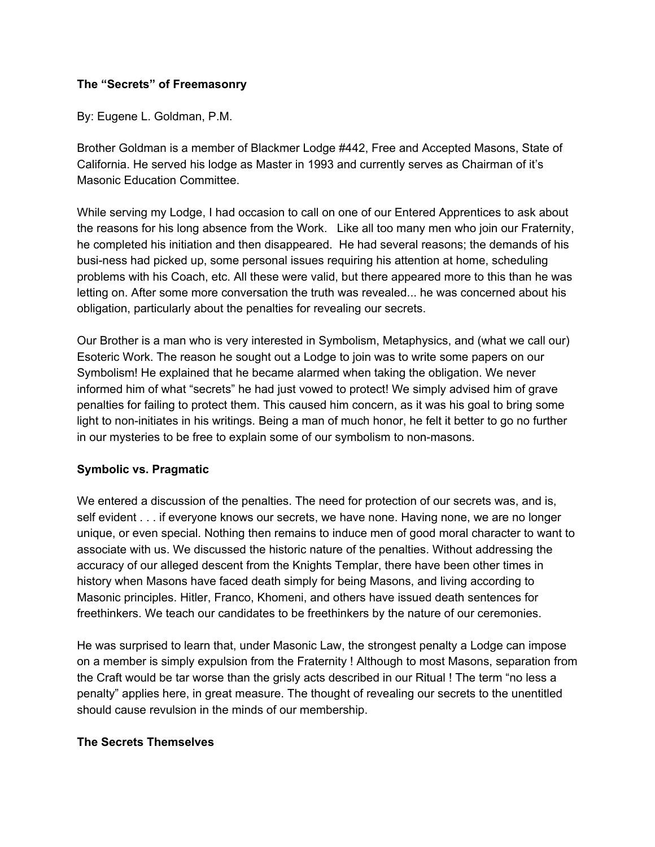# **The "Secrets" of Freemasonry**

By: Eugene L. Goldman, P.M.

Brother Goldman is a member of Blackmer Lodge #442, Free and Accepted Masons, State of California. He served his lodge as Master in 1993 and currently serves as Chairman of it's Masonic Education Committee.

While serving my Lodge, I had occasion to call on one of our Entered Apprentices to ask about the reasons for his long absence from the Work. Like all too many men who join our Fraternity, he completed his initiation and then disappeared. He had several reasons; the demands of his busi-ness had picked up, some personal issues requiring his attention at home, scheduling problems with his Coach, etc. All these were valid, but there appeared more to this than he was letting on. After some more conversation the truth was revealed... he was concerned about his obligation, particularly about the penalties for revealing our secrets.

Our Brother is a man who is very interested in Symbolism, Metaphysics, and (what we call our) Esoteric Work. The reason he sought out a Lodge to join was to write some papers on our Symbolism! He explained that he became alarmed when taking the obligation. We never informed him of what "secrets" he had just vowed to protect! We simply advised him of grave penalties for failing to protect them. This caused him concern, as it was his goal to bring some light to non-initiates in his writings. Being a man of much honor, he felt it better to go no further in our mysteries to be free to explain some of our symbolism to non-masons.

### **Symbolic vs. Pragmatic**

We entered a discussion of the penalties. The need for protection of our secrets was, and is, self evident . . . if everyone knows our secrets, we have none. Having none, we are no longer unique, or even special. Nothing then remains to induce men of good moral character to want to associate with us. We discussed the historic nature of the penalties. Without addressing the accuracy of our alleged descent from the Knights Templar, there have been other times in history when Masons have faced death simply for being Masons, and living according to Masonic principles. Hitler, Franco, Khomeni, and others have issued death sentences for freethinkers. We teach our candidates to be freethinkers by the nature of our ceremonies.

He was surprised to learn that, under Masonic Law, the strongest penalty a Lodge can impose on a member is simply expulsion from the Fraternity ! Although to most Masons, separation from the Craft would be tar worse than the grisly acts described in our Ritual ! The term "no less a penalty" applies here, in great measure. The thought of revealing our secrets to the unentitled should cause revulsion in the minds of our membership.

## **The Secrets Themselves**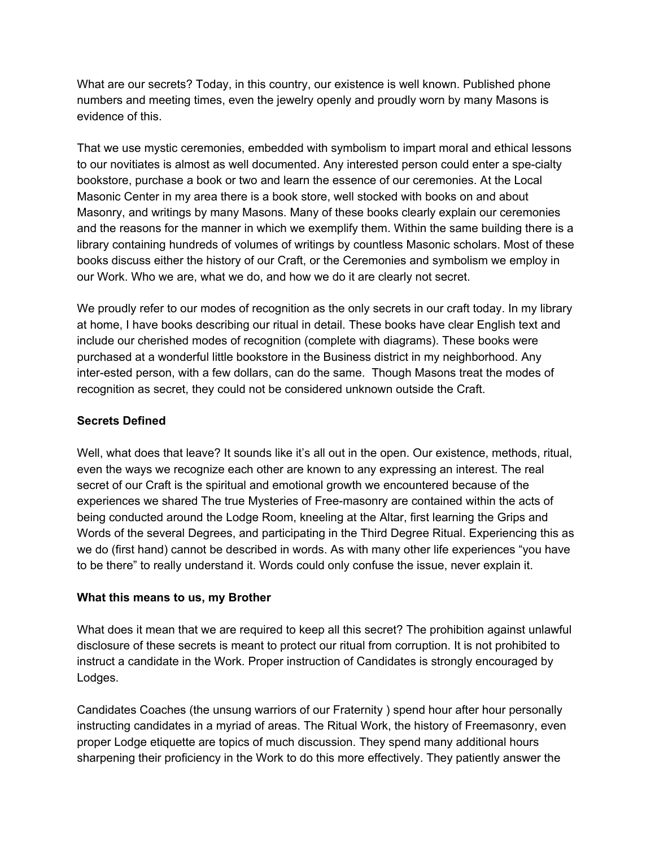What are our secrets? Today, in this country, our existence is well known. Published phone numbers and meeting times, even the jewelry openly and proudly worn by many Masons is evidence of this.

That we use mystic ceremonies, embedded with symbolism to impart moral and ethical lessons to our novitiates is almost as well documented. Any interested person could enter a spe-cialty bookstore, purchase a book or two and learn the essence of our ceremonies. At the Local Masonic Center in my area there is a book store, well stocked with books on and about Masonry, and writings by many Masons. Many of these books clearly explain our ceremonies and the reasons for the manner in which we exemplify them. Within the same building there is a library containing hundreds of volumes of writings by countless Masonic scholars. Most of these books discuss either the history of our Craft, or the Ceremonies and symbolism we employ in our Work. Who we are, what we do, and how we do it are clearly not secret.

We proudly refer to our modes of recognition as the only secrets in our craft today. In my library at home, I have books describing our ritual in detail. These books have clear English text and include our cherished modes of recognition (complete with diagrams). These books were purchased at a wonderful little bookstore in the Business district in my neighborhood. Any inter-ested person, with a few dollars, can do the same. Though Masons treat the modes of recognition as secret, they could not be considered unknown outside the Craft.

# **Secrets Defined**

Well, what does that leave? It sounds like it's all out in the open. Our existence, methods, ritual, even the ways we recognize each other are known to any expressing an interest. The real secret of our Craft is the spiritual and emotional growth we encountered because of the experiences we shared The true Mysteries of Free-masonry are contained within the acts of being conducted around the Lodge Room, kneeling at the Altar, first learning the Grips and Words of the several Degrees, and participating in the Third Degree Ritual. Experiencing this as we do (first hand) cannot be described in words. As with many other life experiences "you have to be there" to really understand it. Words could only confuse the issue, never explain it.

### **What this means to us, my Brother**

What does it mean that we are required to keep all this secret? The prohibition against unlawful disclosure of these secrets is meant to protect our ritual from corruption. It is not prohibited to instruct a candidate in the Work. Proper instruction of Candidates is strongly encouraged by Lodges.

Candidates Coaches (the unsung warriors of our Fraternity ) spend hour after hour personally instructing candidates in a myriad of areas. The Ritual Work, the history of Freemasonry, even proper Lodge etiquette are topics of much discussion. They spend many additional hours sharpening their proficiency in the Work to do this more effectively. They patiently answer the